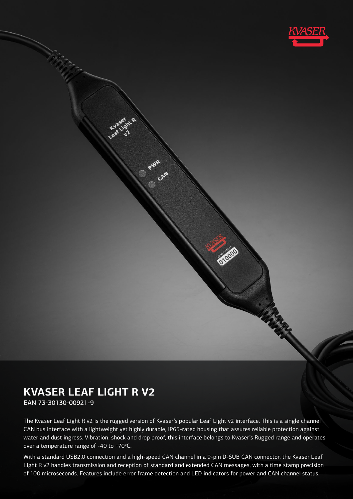

# **KVASER LEAF LIGHT R V2**

EAN 73-30130-00921-9

The Kvaser Leaf Light R v2 is the rugged version of Kvaser's popular Leaf Light v2 interface. This is a single channel CAN bus interface with a lightweight yet highly durable, IP65-rated housing that assures reliable protection against water and dust ingress. Vibration, shock and drop proof, this interface belongs to Kvaser's Rugged range and operates over a temperature range of -40 to +70 $^{\circ}$ C.

With a standard USB2.0 connection and a high-speed CAN channel in a 9-pin D-SUB CAN connector, the Kvaser Leaf Light R v2 handles transmission and reception of standard and extended CAN messages, with a time stamp precision of 100 microseconds. Features include error frame detection and LED indicators for power and CAN channel status.